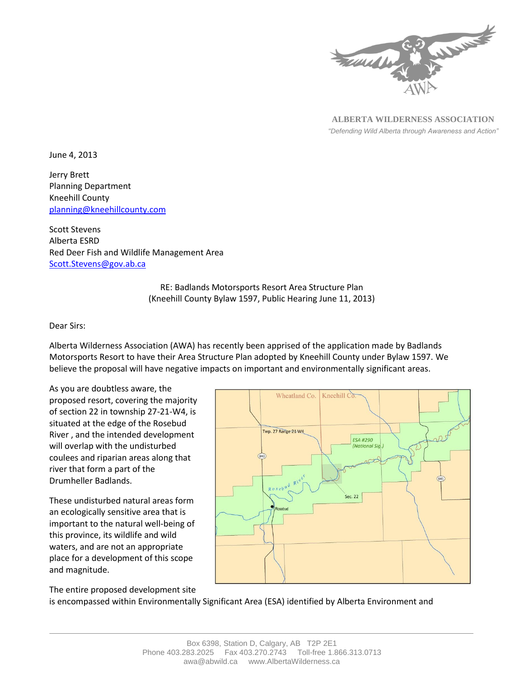

**ALBERTA WILDERNESS ASSOCIATION** *"Defending Wild Alberta through Awareness and Action"*

June 4, 2013

Jerry Brett Planning Department Kneehill County [planning@kneehillcounty.com](mailto:planning@kneehillcounty.com)

Scott Stevens Alberta ESRD Red Deer Fish and Wildlife Management Area [Scott.Stevens@gov.ab.ca](mailto:Scott.Stevens@gov.ab.ca)

> RE: Badlands Motorsports Resort Area Structure Plan (Kneehill County Bylaw 1597, Public Hearing June 11, 2013)

## Dear Sirs:

Alberta Wilderness Association (AWA) has recently been apprised of the application made by Badlands Motorsports Resort to have their Area Structure Plan adopted by Kneehill County under Bylaw 1597. We believe the proposal will have negative impacts on important and environmentally significant areas.

As you are doubtless aware, the proposed resort, covering the majority of section 22 in township 27-21-W4, is situated at the edge of the Rosebud River , and the intended development will overlap with the undisturbed coulees and riparian areas along that river that form a part of the Drumheller Badlands.

These undisturbed natural areas form an ecologically sensitive area that is important to the natural well-being of this province, its wildlife and wild waters, and are not an appropriate place for a development of this scope and magnitude.



The entire proposed development site

is encompassed within Environmentally Significant Area (ESA) identified by Alberta Environment and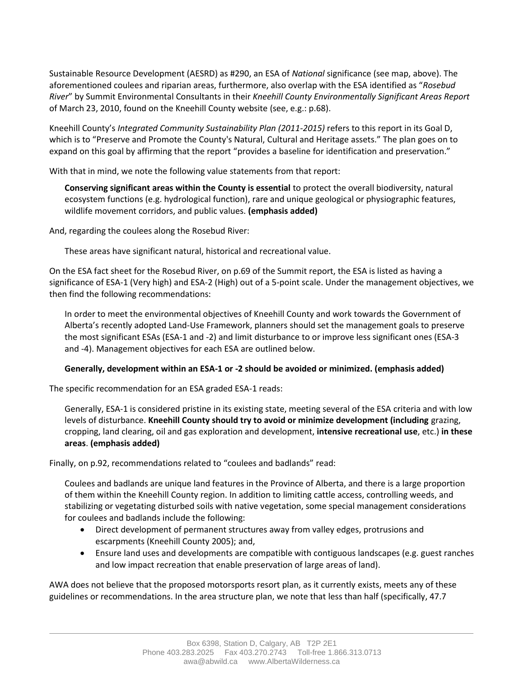Sustainable Resource Development (AESRD) as #290, an ESA of *National* significance (see map, above). The aforementioned coulees and riparian areas, furthermore, also overlap with the ESA identified as "*Rosebud River*" by Summit Environmental Consultants in their *Kneehill County Environmentally Significant Areas Report* of March 23, 2010, found on the Kneehill County website (see, e.g.: p.68).

Kneehill County's *Integrated Community Sustainability Plan (2011-2015)* refers to this report in its Goal D, which is to "Preserve and Promote the County's Natural, Cultural and Heritage assets." The plan goes on to expand on this goal by affirming that the report "provides a baseline for identification and preservation."

With that in mind, we note the following value statements from that report:

**Conserving significant areas within the County is essential** to protect the overall biodiversity, natural ecosystem functions (e.g. hydrological function), rare and unique geological or physiographic features, wildlife movement corridors, and public values. **(emphasis added)**

And, regarding the coulees along the Rosebud River:

These areas have significant natural, historical and recreational value.

On the ESA fact sheet for the Rosebud River, on p.69 of the Summit report, the ESA is listed as having a significance of ESA-1 (Very high) and ESA-2 (High) out of a 5-point scale. Under the management objectives, we then find the following recommendations:

In order to meet the environmental objectives of Kneehill County and work towards the Government of Alberta's recently adopted Land-Use Framework, planners should set the management goals to preserve the most significant ESAs (ESA-1 and -2) and limit disturbance to or improve less significant ones (ESA-3 and -4). Management objectives for each ESA are outlined below.

## **Generally, development within an ESA-1 or -2 should be avoided or minimized. (emphasis added)**

The specific recommendation for an ESA graded ESA-1 reads:

Generally, ESA-1 is considered pristine in its existing state, meeting several of the ESA criteria and with low levels of disturbance. **Kneehill County should try to avoid or minimize development (including** grazing, cropping, land clearing, oil and gas exploration and development, **intensive recreational use**, etc.) **in these areas**. **(emphasis added)**

Finally, on p.92, recommendations related to "coulees and badlands" read:

Coulees and badlands are unique land features in the Province of Alberta, and there is a large proportion of them within the Kneehill County region. In addition to limiting cattle access, controlling weeds, and stabilizing or vegetating disturbed soils with native vegetation, some special management considerations for coulees and badlands include the following:

- Direct development of permanent structures away from valley edges, protrusions and escarpments (Kneehill County 2005); and,
- Ensure land uses and developments are compatible with contiguous landscapes (e.g. guest ranches and low impact recreation that enable preservation of large areas of land).

AWA does not believe that the proposed motorsports resort plan, as it currently exists, meets any of these guidelines or recommendations. In the area structure plan, we note that less than half (specifically, 47.7